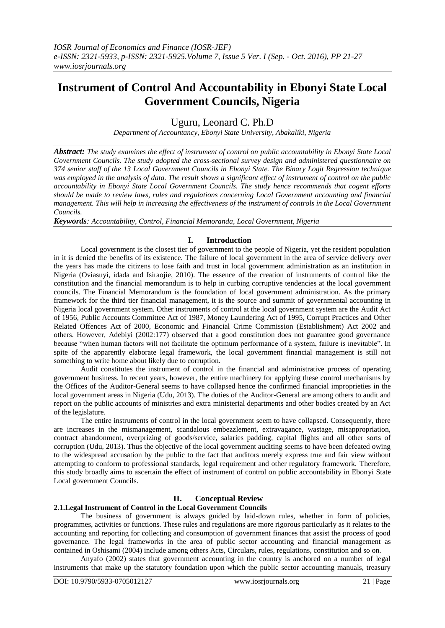# **Instrument of Control And Accountability in Ebonyi State Local Government Councils, Nigeria**

Uguru, Leonard C. Ph.D

*Department of Accountancy, Ebonyi State University, Abakaliki, Nigeria*

*Abstract: The study examines the effect of instrument of control on public accountability in Ebonyi State Local Government Councils. The study adopted the cross-sectional survey design and administered questionnaire on 374 senior staff of the 13 Local Government Councils in Ebonyi State. The Binary Logit Regression technique was employed in the analysis of data. The result shows a significant effect of instrument of control on the public accountability in Ebonyi State Local Government Councils. The study hence recommends that cogent efforts should be made to review laws, rules and regulations concerning Local Government accounting and financial management. This will help in increasing the effectiveness of the instrument of controls in the Local Government Councils.*

*Keywords: Accountability, Control, Financial Memoranda, Local Government, Nigeria* 

### **I. Introduction**

Local government is the closest tier of government to the people of Nigeria, yet the resident population in it is denied the benefits of its existence. The failure of local government in the area of service delivery over the years has made the citizens to lose faith and trust in local government administration as an institution in Nigeria (Oviasuyi, idada and Isiraojie, 2010). The essence of the creation of instruments of control like the constitution and the financial memorandum is to help in curbing corruptive tendencies at the local government councils. The Financial Memorandum is the foundation of local government administration. As the primary framework for the third tier financial management, it is the source and summit of governmental accounting in Nigeria local government system. Other instruments of control at the local government system are the Audit Act of 1956, Public Accounts Committee Act of 1987, Money Laundering Act of 1995, Corrupt Practices and Other Related Offences Act of 2000, Economic and Financial Crime Commission (Establishment) Act 2002 and others. However, Adebiyi (2002:177) observed that a good constitution does not guarantee good governance because "when human factors will not facilitate the optimum performance of a system, failure is inevitable". In spite of the apparently elaborate legal framework, the local government financial management is still not something to write home about likely due to corruption.

Audit constitutes the instrument of control in the financial and administrative process of operating government business. In recent years, however, the entire machinery for applying these control mechanisms by the Offices of the Auditor-General seems to have collapsed hence the confirmed financial improprieties in the local government areas in Nigeria (Udu, 2013). The duties of the Auditor-General are among others to audit and report on the public accounts of ministries and extra ministerial departments and other bodies created by an Act of the legislature.

The entire instruments of control in the local government seem to have collapsed. Consequently, there are increases in the mismanagement, scandalous embezzlement, extravagance, wastage, misappropriation, contract abandonment, overprizing of goods/service, salaries padding, capital flights and all other sorts of corruption (Udu, 2013). Thus the objective of the local government auditing seems to have been defeated owing to the widespread accusation by the public to the fact that auditors merely express true and fair view without attempting to conform to professional standards, legal requirement and other regulatory framework. Therefore, this study broadly aims to ascertain the effect of instrument of control on public accountability in Ebonyi State Local government Councils.

### **II. Conceptual Review**

### **2.1.Legal Instrument of Control in the Local Government Councils**

The business of government is always guided by laid-down rules, whether in form of policies, programmes, activities or functions. These rules and regulations are more rigorous particularly as it relates to the accounting and reporting for collecting and consumption of government finances that assist the process of good governance. The legal frameworks in the area of public sector accounting and financial management as contained in Oshisami (2004) include among others Acts, Circulars, rules, regulations, constitution and so on.

Anyafo (2002) states that government accounting in the country is anchored on a number of legal instruments that make up the statutory foundation upon which the public sector accounting manuals, treasury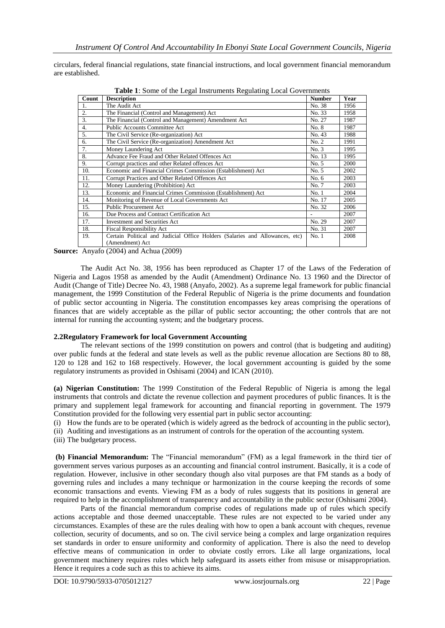circulars, federal financial regulations, state financial instructions, and local government financial memorandum are established.

| Count | <b>THERE</b> Is bother of the Eugen motivation regulating Eocal Governments<br><b>Description</b> | <b>Number</b> | Year |
|-------|---------------------------------------------------------------------------------------------------|---------------|------|
|       |                                                                                                   | No. 38        |      |
|       | The Audit Act                                                                                     |               | 1956 |
| 2.    | The Financial (Control and Management) Act                                                        | No. 33        | 1958 |
| 3.    | The Financial (Control and Management) Amendment Act                                              | No. 27        | 1987 |
| 4.    | Public Accounts Committee Act                                                                     | No. 8         | 1987 |
| 5.    | The Civil Service (Re-organization) Act                                                           |               | 1988 |
| 6.    | The Civil Service (Re-organization) Amendment Act                                                 | No. 2         | 1991 |
| 7.    | Money Laundering Act                                                                              | No. 3         | 1995 |
| 8.    | Advance Fee Fraud and Other Related Offences Act                                                  | No. 13        | 1995 |
| 9.    | Corrupt practices and other Related offences Act                                                  | No. 5         | 2000 |
| 10.   | Economic and Financial Crimes Commission (Establishment) Act                                      | No. 5         | 2002 |
| 11.   | Corrupt Practices and Other Related Offences Act                                                  | No. 6         | 2003 |
| 12.   | Money Laundering (Prohibition) Act                                                                | No. 7         | 2003 |
| 13.   | Economic and Financial Crimes Commission (Establishment) Act                                      | No.1          | 2004 |
| 14.   | Monitoring of Revenue of Local Governments Act                                                    | No. 17        | 2005 |
| 15.   | <b>Public Procurement Act</b>                                                                     | No. 32        | 2006 |
| 16.   | Due Process and Contract Certification Act                                                        |               | 2007 |
| 17.   | <b>Investment and Securities Act</b>                                                              | No. 29        | 2007 |
| 18.   | <b>Fiscal Responsibility Act</b>                                                                  | No. 31        | 2007 |
| 19.   | Certain Political and Judicial Office Holders (Salaries and Allowances, etc)                      | No.1          | 2008 |
|       | (Amendment) Act                                                                                   |               |      |

**Table 1**: Some of the Legal Instruments Regulating Local Governments

**Source:** Anyafo (2004) and Achua (2009)

The Audit Act No. 38, 1956 has been reproduced as Chapter 17 of the Laws of the Federation of Nigeria and Lagos 1958 as amended by the Audit (Amendment) Ordinance No. 13 1960 and the Director of Audit (Change of Title) Decree No. 43, 1988 (Anyafo, 2002). As a supreme legal framework for public financial management, the 1999 Constitution of the Federal Republic of Nigeria is the prime documents and foundation of public sector accounting in Nigeria. The constitution encompasses key areas comprising the operations of finances that are widely acceptable as the pillar of public sector accounting; the other controls that are not internal for running the accounting system; and the budgetary process.

#### **2.2Regulatory Framework for local Government Accounting**

The relevant sections of the 1999 constitution on powers and control (that is budgeting and auditing) over public funds at the federal and state levels as well as the public revenue allocation are Sections 80 to 88, 120 to 128 and 162 to 168 respectively. However, the local government accounting is guided by the some regulatory instruments as provided in Oshisami (2004) and ICAN (2010).

**(a) Nigerian Constitution:** The 1999 Constitution of the Federal Republic of Nigeria is among the legal instruments that controls and dictate the revenue collection and payment procedures of public finances. It is the primary and supplement legal framework for accounting and financial reporting in government. The 1979 Constitution provided for the following very essential part in public sector accounting:

(i) How the funds are to be operated (which is widely agreed as the bedrock of accounting in the public sector), (ii) Auditing and investigations as an instrument of controls for the operation of the accounting system.

(iii) The budgetary process.

**(b) Financial Memorandum:** The "Financial memorandum" (FM) as a legal framework in the third tier of government serves various purposes as an accounting and financial control instrument. Basically, it is a code of regulation. However, inclusive in other secondary though also vital purposes are that FM stands as a body of governing rules and includes a many technique or harmonization in the course keeping the records of some economic transactions and events. Viewing FM as a body of rules suggests that its positions in general are required to help in the accomplishment of transparency and accountability in the public sector (Oshisami 2004).

Parts of the financial memorandum comprise codes of regulations made up of rules which specify actions acceptable and those deemed unacceptable. These rules are not expected to be varied under any circumstances. Examples of these are the rules dealing with how to open a bank account with cheques, revenue collection, security of documents, and so on. The civil service being a complex and large organization requires set standards in order to ensure uniformity and conformity of application. There is also the need to develop effective means of communication in order to obviate costly errors. Like all large organizations, local government machinery requires rules which help safeguard its assets either from misuse or misappropriation. Hence it requires a code such as this to achieve its aims.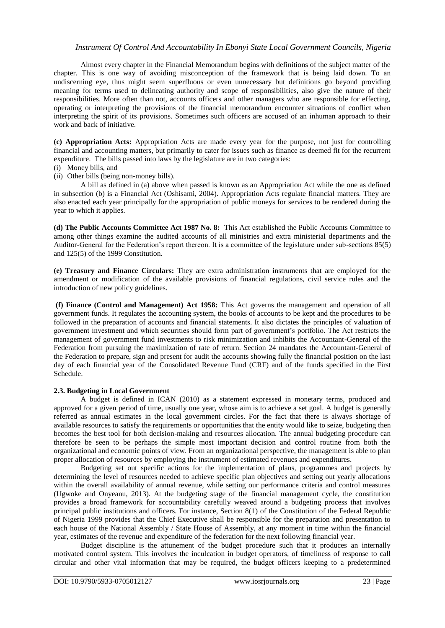Almost every chapter in the Financial Memorandum begins with definitions of the subject matter of the chapter. This is one way of avoiding misconception of the framework that is being laid down. To an undiscerning eye, thus might seem superfluous or even unnecessary but definitions go beyond providing meaning for terms used to delineating authority and scope of responsibilities, also give the nature of their responsibilities. More often than not, accounts officers and other managers who are responsible for effecting, operating or interpreting the provisions of the financial memorandum encounter situations of conflict when interpreting the spirit of its provisions. Sometimes such officers are accused of an inhuman approach to their work and back of initiative.

**(c) Appropriation Acts:** Appropriation Acts are made every year for the purpose, not just for controlling financial and accounting matters, but primarily to cater for issues such as finance as deemed fit for the recurrent expenditure. The bills passed into laws by the legislature are in two categories:

- (i) Money bills, and
- (ii) Other bills (being non-money bills).

A bill as defined in (a) above when passed is known as an Appropriation Act while the one as defined in subsection (b) is a Financial Act (Oshisami, 2004). Appropriation Acts regulate financial matters. They are also enacted each year principally for the appropriation of public moneys for services to be rendered during the year to which it applies.

**(d) The Public Accounts Committee Act 1987 No. 8:** This Act established the Public Accounts Committee to among other things examine the audited accounts of all ministries and extra ministerial departments and the Auditor-General for the Federation's report thereon. It is a committee of the legislature under sub-sections 85(5) and 125(5) of the 1999 Constitution.

**(e) Treasury and Finance Circulars:** They are extra administration instruments that are employed for the amendment or modification of the available provisions of financial regulations, civil service rules and the introduction of new policy guidelines.

**(f) Finance (Control and Management) Act 1958:** This Act governs the management and operation of all government funds. It regulates the accounting system, the books of accounts to be kept and the procedures to be followed in the preparation of accounts and financial statements. It also dictates the principles of valuation of government investment and which securities should form part of government's portfolio. The Act restricts the management of government fund investments to risk minimization and inhibits the Accountant-General of the Federation from pursuing the maximization of rate of return. Section 24 mandates the Accountant-General of the Federation to prepare, sign and present for audit the accounts showing fully the financial position on the last day of each financial year of the Consolidated Revenue Fund (CRF) and of the funds specified in the First Schedule.

#### **2.3. Budgeting in Local Government**

A budget is defined in ICAN (2010) as a statement expressed in monetary terms, produced and approved for a given period of time, usually one year, whose aim is to achieve a set goal. A budget is generally referred as annual estimates in the local government circles. For the fact that there is always shortage of available resources to satisfy the requirements or opportunities that the entity would like to seize, budgeting then becomes the best tool for both decision-making and resources allocation. The annual budgeting procedure can therefore be seen to be perhaps the simple most important decision and control routine from both the organizational and economic points of view. From an organizational perspective, the management is able to plan proper allocation of resources by employing the instrument of estimated revenues and expenditures.

Budgeting set out specific actions for the implementation of plans, programmes and projects by determining the level of resources needed to achieve specific plan objectives and setting out yearly allocations within the overall availability of annual revenue, while setting our performance criteria and control measures (Ugwoke and Onyeanu, 2013). At the budgeting stage of the financial management cycle, the constitution provides a broad framework for accountability carefully weaved around a budgeting process that involves principal public institutions and officers. For instance, Section 8(1) of the Constitution of the Federal Republic of Nigeria 1999 provides that the Chief Executive shall be responsible for the preparation and presentation to each house of the National Assembly / State House of Assembly, at any moment in time within the financial year, estimates of the revenue and expenditure of the federation for the next following financial year.

Budget discipline is the attunement of the budget procedure such that it produces an internally motivated control system. This involves the inculcation in budget operators, of timeliness of response to call circular and other vital information that may be required, the budget officers keeping to a predetermined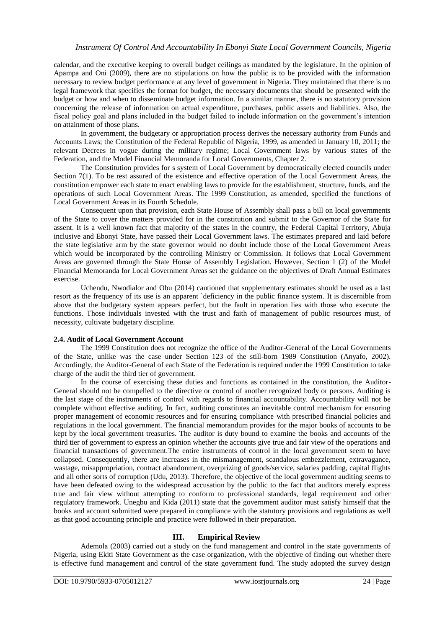calendar, and the executive keeping to overall budget ceilings as mandated by the legislature. In the opinion of Apampa and Oni (2009), there are no stipulations on how the public is to be provided with the information necessary to review budget performance at any level of government in Nigeria. They maintained that there is no legal framework that specifies the format for budget, the necessary documents that should be presented with the budget or how and when to disseminate budget information. In a similar manner, there is no statutory provision concerning the release of information on actual expenditure, purchases, public assets and liabilities. Also, the fiscal policy goal and plans included in the budget failed to include information on the government's intention on attainment of those plans.

In government, the budgetary or appropriation process derives the necessary authority from Funds and Accounts Laws; the Constitution of the Federal Republic of Nigeria, 1999, as amended in January 10, 2011; the relevant Decrees in vogue during the military regime; Local Government laws by various states of the Federation, and the Model Financial Memoranda for Local Governments, Chapter 2.

The Constitution provides for s system of Local Government by democratically elected councils under Section 7(1). To be rest assured of the existence and effective operation of the Local Government Areas, the constitution empower each state to enact enabling laws to provide for the establishment, structure, funds, and the operations of such Local Government Areas. The 1999 Constitution, as amended, specified the functions of Local Government Areas in its Fourth Schedule.

Consequent upon that provision, each State House of Assembly shall pass a bill on local governments of the State to cover the matters provided for in the constitution and submit to the Governor of the State for assent. It is a well known fact that majority of the states in the country, the Federal Capital Territory, Abuja inclusive and Ebonyi State, have passed their Local Government laws. The estimates prepared and laid before the state legislative arm by the state governor would no doubt include those of the Local Government Areas which would be incorporated by the controlling Ministry or Commission. It follows that Local Government Areas are governed through the State House of Assembly Legislation. However, Section 1 (2) of the Model Financial Memoranda for Local Government Areas set the guidance on the objectives of Draft Annual Estimates exercise.

Uchendu, Nwodialor and Obu (2014) cautioned that supplementary estimates should be used as a last resort as the frequency of its use is an apparent `deficiency in the public finance system. It is discernible from above that the budgetary system appears perfect, but the fault in operation lies with those who execute the functions. Those individuals invested with the trust and faith of management of public resources must, of necessity, cultivate budgetary discipline.

#### **2.4. Audit of Local Government Account**

The 1999 Constitution does not recognize the office of the Auditor-General of the Local Governments of the State, unlike was the case under Section 123 of the still-born 1989 Constitution (Anyafo, 2002). Accordingly, the Auditor-General of each State of the Federation is required under the 1999 Constitution to take charge of the audit the third tier of government.

In the course of exercising these duties and functions as contained in the constitution, the Auditor-General should not be compelled to the directive or control of another recognized body or persons. Auditing is the last stage of the instruments of control with regards to financial accountability. Accountability will not be complete without effective auditing. In fact, auditing constitutes an inevitable control mechanism for ensuring proper management of economic resources and for ensuring compliance with prescribed financial policies and regulations in the local government. The financial memorandum provides for the major books of accounts to be kept by the local government treasuries. The auditor is duty bound to examine the books and accounts of the third tier of government to express an opinion whether the accounts give true and fair view of the operations and financial transactions of government.The entire instruments of control in the local government seem to have collapsed. Consequently, there are increases in the mismanagement, scandalous embezzlement, extravagance, wastage, misappropriation, contract abandonment, overprizing of goods/service, salaries padding, capital flights and all other sorts of corruption (Udu, 2013). Therefore, the objective of the local government auditing seems to have been defeated owing to the widespread accusation by the public to the fact that auditors merely express true and fair view without attempting to conform to professional standards, legal requirement and other regulatory framework. Unegbu and Kida (2011) state that the government auditor must satisfy himself that the books and account submitted were prepared in compliance with the statutory provisions and regulations as well as that good accounting principle and practice were followed in their preparation.

### **III. Empirical Review**

Ademola (2003) carried out a study on the fund management and control in the state governments of Nigeria, using Ekiti State Government as the case organization, with the objective of finding out whether there is effective fund management and control of the state government fund. The study adopted the survey design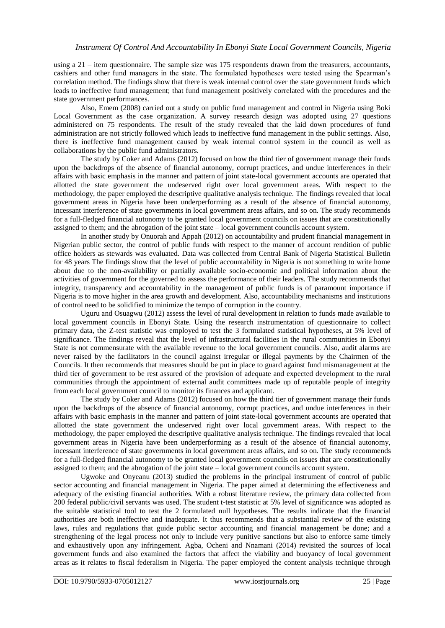using a 21 – item questionnaire. The sample size was 175 respondents drawn from the treasurers, accountants, cashiers and other fund managers in the state. The formulated hypotheses were tested using the Spearman's correlation method. The findings show that there is weak internal control over the state government funds which leads to ineffective fund management; that fund management positively correlated with the procedures and the state government performances.

Also, Emem (2008) carried out a study on public fund management and control in Nigeria using Boki Local Government as the case organization. A survey research design was adopted using 27 questions administered on 75 respondents. The result of the study revealed that the laid down procedures of fund administration are not strictly followed which leads to ineffective fund management in the public settings. Also, there is ineffective fund management caused by weak internal control system in the council as well as collaborations by the public fund administrators.

The study by Coker and Adams (2012) focused on how the third tier of government manage their funds upon the backdrops of the absence of financial autonomy, corrupt practices, and undue interferences in their affairs with basic emphasis in the manner and pattern of joint state-local government accounts are operated that allotted the state government the undeserved right over local government areas. With respect to the methodology, the paper employed the descriptive qualitative analysis technique. The findings revealed that local government areas in Nigeria have been underperforming as a result of the absence of financial autonomy, incessant interference of state governments in local government areas affairs, and so on. The study recommends for a full-fledged financial autonomy to be granted local government councils on issues that are constitutionally assigned to them; and the abrogation of the joint state – local government councils account system.

In another study by Onuorah and Appah (2012) on accountability and prudent financial management in Nigerian public sector, the control of public funds with respect to the manner of account rendition of public office holders as stewards was evaluated. Data was collected from Central Bank of Nigeria Statistical Bulletin for 48 years The findings show that the level of public accountability in Nigeria is not something to write home about due to the non-availability or partially available socio-economic and political information about the activities of government for the governed to assess the performance of their leaders. The study recommends that integrity, transparency and accountability in the management of public funds is of paramount importance if Nigeria is to move higher in the area growth and development. Also, accountability mechanisms and institutions of control need to be solidified to minimize the tempo of corruption in the country.

Uguru and Osuagwu (2012) assess the level of rural development in relation to funds made available to local government councils in Ebonyi State. Using the research instrumentation of questionnaire to collect primary data, the Z-test statistic was employed to test the 3 formulated statistical hypotheses, at 5% level of significance. The findings reveal that the level of infrastructural facilities in the rural communities in Ebonyi State is not commensurate with the available revenue to the local government councils. Also, audit alarms are never raised by the facilitators in the council against irregular or illegal payments by the Chairmen of the Councils. It then recommends that measures should be put in place to guard against fund mismanagement at the third tier of government to be rest assured of the provision of adequate and expected development to the rural communities through the appointment of external audit committees made up of reputable people of integrity from each local government council to monitor its finances and applicant.

The study by Coker and Adams (2012) focused on how the third tier of government manage their funds upon the backdrops of the absence of financial autonomy, corrupt practices, and undue interferences in their affairs with basic emphasis in the manner and pattern of joint state-local government accounts are operated that allotted the state government the undeserved right over local government areas. With respect to the methodology, the paper employed the descriptive qualitative analysis technique. The findings revealed that local government areas in Nigeria have been underperforming as a result of the absence of financial autonomy, incessant interference of state governments in local government areas affairs, and so on. The study recommends for a full-fledged financial autonomy to be granted local government councils on issues that are constitutionally assigned to them; and the abrogation of the joint state – local government councils account system.

Ugwoke and Onyeanu (2013) studied the problems in the principal instrument of control of public sector accounting and financial management in Nigeria. The paper aimed at determining the effectiveness and adequacy of the existing financial authorities. With a robust literature review, the primary data collected from 200 federal public/civil servants was used. The student t-test statistic at 5% level of significance was adopted as the suitable statistical tool to test the 2 formulated null hypotheses. The results indicate that the financial authorities are both ineffective and inadequate. It thus recommends that a substantial review of the existing laws, rules and regulations that guide public sector accounting and financial management be done; and a strengthening of the legal process not only to include very punitive sanctions but also to enforce same timely and exhaustively upon any infringement. Agba, Ocheni and Nnamani (2014) revisited the sources of local government funds and also examined the factors that affect the viability and buoyancy of local government areas as it relates to fiscal federalism in Nigeria. The paper employed the content analysis technique through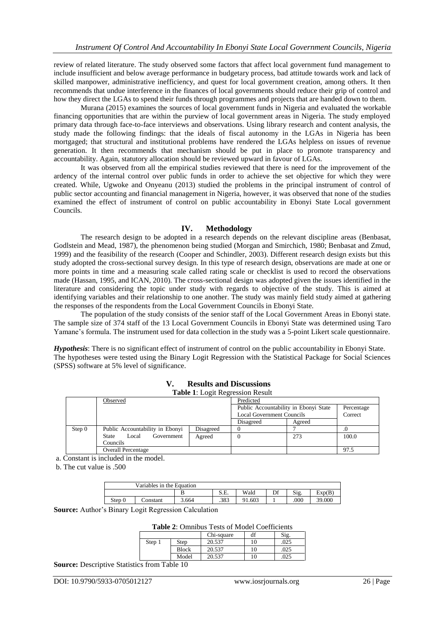review of related literature. The study observed some factors that affect local government fund management to include insufficient and below average performance in budgetary process, bad attitude towards work and lack of skilled manpower, administrative inefficiency, and quest for local government creation, among others. It then recommends that undue interference in the finances of local governments should reduce their grip of control and how they direct the LGAs to spend their funds through programmes and projects that are handed down to them.

Murana (2015) examines the sources of local government funds in Nigeria and evaluated the workable financing opportunities that are within the purview of local government areas in Nigeria. The study employed primary data through face-to-face interviews and observations. Using library research and content analysis, the study made the following findings: that the ideals of fiscal autonomy in the LGAs in Nigeria has been mortgaged; that structural and institutional problems have rendered the LGAs helpless on issues of revenue generation. It then recommends that mechanism should be put in place to promote transparency and accountability. Again, statutory allocation should be reviewed upward in favour of LGAs.

It was observed from all the empirical studies reviewed that there is need for the improvement of the ardency of the internal control over public funds in order to achieve the set objective for which they were created. While, Ugwoke and Onyeanu (2013) studied the problems in the principal instrument of control of public sector accounting and financial management in Nigeria, however, it was observed that none of the studies examined the effect of instrument of control on public accountability in Ebonyi State Local government Councils.

#### **IV. Methodology**

The research design to be adopted in a research depends on the relevant discipline areas (Benbasat, Godlstein and Mead, 1987), the phenomenon being studied (Morgan and Smirchich, 1980; Benbasat and Zmud, 1999) and the feasibility of the research (Cooper and Schindler, 2003). Different research design exists but this study adopted the cross-sectional survey design. In this type of research design, observations are made at one or more points in time and a measuring scale called rating scale or checklist is used to record the observations made (Hassan, 1995, and ICAN, 2010). The cross-sectional design was adopted given the issues identified in the literature and considering the topic under study with regards to objective of the study. This is aimed at identifying variables and their relationship to one another. The study was mainly field study aimed at gathering the responses of the respondents from the Local Government Councils in Ebonyi State.

The population of the study consists of the senior staff of the Local Government Areas in Ebonyi state. The sample size of 374 staff of the 13 Local Government Councils in Ebonyi State was determined using Taro Yamane's formula. The instrument used for data collection in the study was a 5-point Likert scale questionnaire.

*Hypothesis*: There is no significant effect of instrument of control on the public accountability in Ebonyi State. The hypotheses were tested using the Binary Logit Regression with the Statistical Package for Social Sciences (SPSS) software at 5% level of significance.

| <b>Table 1:</b> Logit Regression Result |                                 |                                       |                                  |            |         |  |
|-----------------------------------------|---------------------------------|---------------------------------------|----------------------------------|------------|---------|--|
|                                         | Observed                        | Predicted                             |                                  |            |         |  |
|                                         |                                 | Public Accountability in Ebonyi State |                                  | Percentage |         |  |
|                                         |                                 |                                       | <b>Local Government Councils</b> |            | Correct |  |
|                                         |                                 |                                       | Disagreed                        | Agreed     |         |  |
| Step 0                                  | Public Accountability in Ebonyi | Disagreed                             |                                  |            |         |  |
|                                         | Government<br>State<br>Local    | Agreed                                |                                  | 273        | 100.0   |  |
|                                         | Councils                        |                                       |                                  |            |         |  |
|                                         | <b>Overall Percentage</b>       |                                       |                                  |            | 97.5    |  |

## **V. Results and Discussions**

a. Constant is included in the model.

b. The cut value is .500

| Variables in the Equation |          |       |                       |        |    |      |        |
|---------------------------|----------|-------|-----------------------|--------|----|------|--------|
|                           |          |       | $C$ $\Gamma$<br>.تــر | Wald   | Df | Sig. | Exp(B) |
| Step 0                    | `onstant | 3.664 | .383                  | 91.603 |    | .000 | 39.000 |

**Source:** Author's Binary Logit Regression Calculation

**Table 2**: Omnibus Tests of Model Coefficients

|        |              | Chi-square | df          | Sig. |
|--------|--------------|------------|-------------|------|
| Step 1 | Step         | 20.537     | 10          | 025  |
|        | <b>Block</b> | 20.537     | 10          | 025  |
|        | Model        | 20.537     | $^{\circ}0$ | 025  |

**Source:** Descriptive Statistics from Table 10